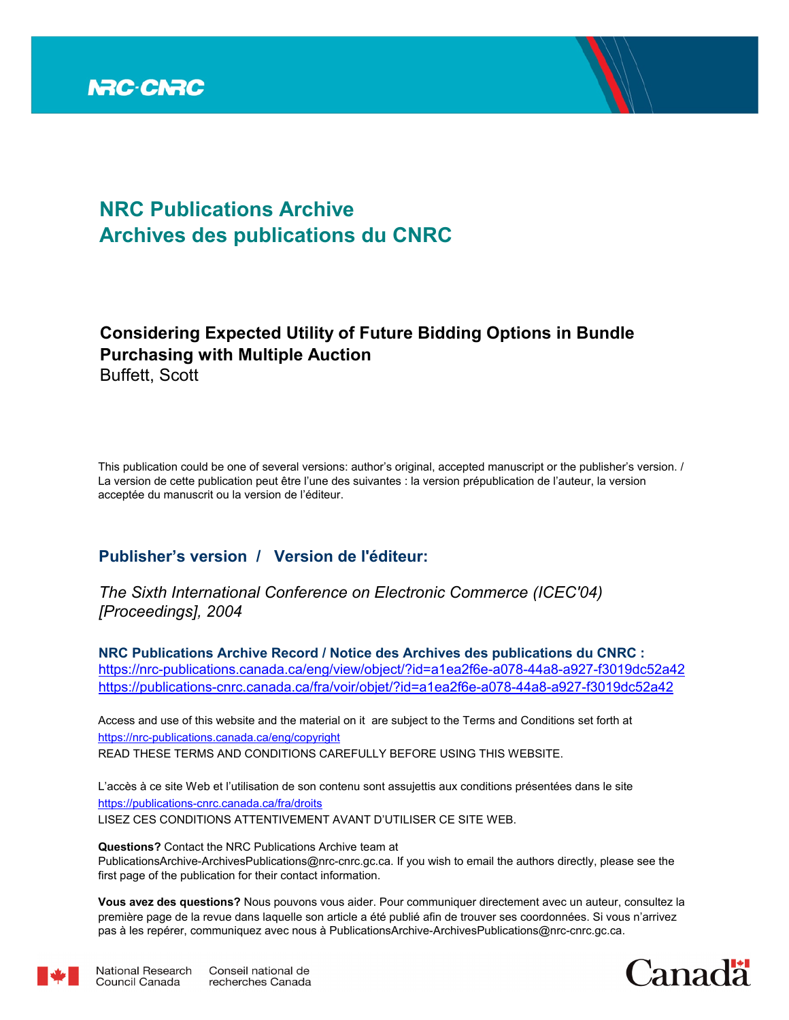

# **NRC Publications Archive Archives des publications du CNRC**

## **Considering Expected Utility of Future Bidding Options in Bundle Purchasing with Multiple Auction** Buffett, Scott

This publication could be one of several versions: author's original, accepted manuscript or the publisher's version. / La version de cette publication peut être l'une des suivantes : la version prépublication de l'auteur, la version acceptée du manuscrit ou la version de l'éditeur.

## **Publisher's version / Version de l'éditeur:**

*The Sixth International Conference on Electronic Commerce (ICEC'04) [Proceedings], 2004*

**NRC Publications Archive Record / Notice des Archives des publications du CNRC :** https://nrc-publications.canada.ca/eng/view/object/?id=a1ea2f6e-a078-44a8-a927-f3019dc52a42 https://publications-cnrc.canada.ca/fra/voir/objet/?id=a1ea2f6e-a078-44a8-a927-f3019dc52a42

READ THESE TERMS AND CONDITIONS CAREFULLY BEFORE USING THIS WEBSITE. https://nrc-publications.canada.ca/eng/copyright Access and use of this website and the material on it are subject to the Terms and Conditions set forth at

https://publications-cnrc.canada.ca/fra/droits L'accès à ce site Web et l'utilisation de son contenu sont assujettis aux conditions présentées dans le site LISEZ CES CONDITIONS ATTENTIVEMENT AVANT D'UTILISER CE SITE WEB.

**Questions?** Contact the NRC Publications Archive team at PublicationsArchive-ArchivesPublications@nrc-cnrc.gc.ca. If you wish to email the authors directly, please see the first page of the publication for their contact information.

**Vous avez des questions?** Nous pouvons vous aider. Pour communiquer directement avec un auteur, consultez la première page de la revue dans laquelle son article a été publié afin de trouver ses coordonnées. Si vous n'arrivez pas à les repérer, communiquez avec nous à PublicationsArchive-ArchivesPublications@nrc-cnrc.gc.ca.



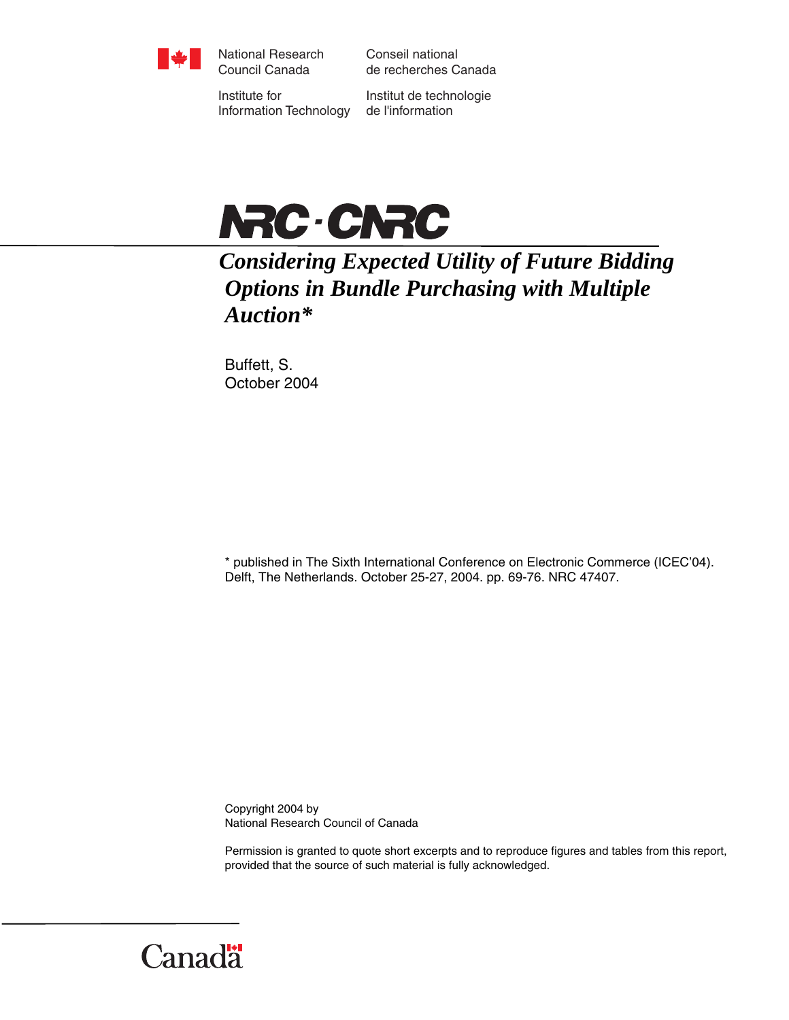

National Research Council Canada

Conseil national de recherches Canada

Institute for Information Technology

Institut de technologie de l'information



*Considering Expected Utility of Future Bidding Options in Bundle Purchasing with Multiple Auction\** 

Buffett, S. October 2004

\* published in The Sixth International Conference on Electronic Commerce (ICEC'04). Delft, The Netherlands. October 25-27, 2004. pp. 69-76. NRC 47407.

Copyright 2004 by National Research Council of Canada

Permission is granted to quote short excerpts and to reproduce figures and tables from this report, provided that the source of such material is fully acknowledged.

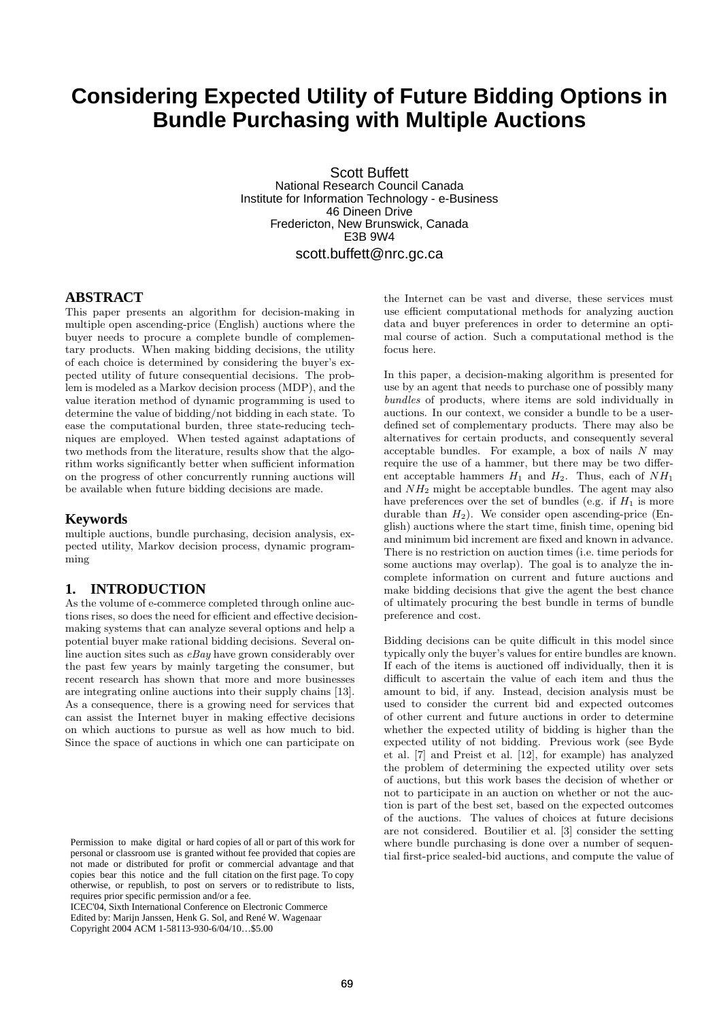# **Considering Expected Utility of Future Bidding Options in Bundle Purchasing with Multiple Auctions**

Scott Buffett National Research Council Canada Institute for Information Technology - e-Business 46 Dineen Drive Fredericton, New Brunswick, Canada E3B 9W4 scott.buffett@nrc.gc.ca

### **ABSTRACT**

This paper presents an algorithm for decision-making in multiple open ascending-price (English) auctions where the buyer needs to procure a complete bundle of complementary products. When making bidding decisions, the utility of each choice is determined by considering the buyer's expected utility of future consequential decisions. The problem is modeled as a Markov decision process (MDP), and the value iteration method of dynamic programming is used to determine the value of bidding/not bidding in each state. To ease the computational burden, three state-reducing techniques are employed. When tested against adaptations of two methods from the literature, results show that the algorithm works significantly better when sufficient information on the progress of other concurrently running auctions will be available when future bidding decisions are made.

#### **Keywords**

multiple auctions, bundle purchasing, decision analysis, expected utility, Markov decision process, dynamic programming

## **1. INTRODUCTION**

As the volume of e-commerce completed through online auctions rises, so does the need for efficient and effective decisionmaking systems that can analyze several options and help a potential buyer make rational bidding decisions. Several online auction sites such as  $eBay$  have grown considerably over the past few years by mainly targeting the consumer, but recent research has shown that more and more businesses are integrating online auctions into their supply chains [13]. As a consequence, there is a growing need for services that can assist the Internet buyer in making effective decisions on which auctions to pursue as well as how much to bid. Since the space of auctions in which one can participate on

ICEC'04, Sixth International Conference on Electronic Commerce Edited by: Marijn Janssen, Henk G. Sol, and René W. Wagenaar Copyright 2004 ACM 1-58113-930-6/04/10…\$5.00

the Internet can be vast and diverse, these services must use efficient computational methods for analyzing auction data and buyer preferences in order to determine an optimal course of action. Such a computational method is the focus here.

In this paper, a decision-making algorithm is presented for use by an agent that needs to purchase one of possibly many bundles of products, where items are sold individually in auctions. In our context, we consider a bundle to be a userdefined set of complementary products. There may also be alternatives for certain products, and consequently several acceptable bundles. For example, a box of nails  $N$  may require the use of a hammer, but there may be two different acceptable hammers  $H_1$  and  $H_2$ . Thus, each of  $NH_1$ and  $NH<sub>2</sub>$  might be acceptable bundles. The agent may also have preferences over the set of bundles (e.g. if  $H_1$  is more durable than  $H_2$ ). We consider open ascending-price (English) auctions where the start time, finish time, opening bid and minimum bid increment are fixed and known in advance. There is no restriction on auction times (i.e. time periods for some auctions may overlap). The goal is to analyze the incomplete information on current and future auctions and make bidding decisions that give the agent the best chance of ultimately procuring the best bundle in terms of bundle preference and cost.

Bidding decisions can be quite difficult in this model since typically only the buyer's values for entire bundles are known. If each of the items is auctioned off individually, then it is difficult to ascertain the value of each item and thus the amount to bid, if any. Instead, decision analysis must be used to consider the current bid and expected outcomes of other current and future auctions in order to determine whether the expected utility of bidding is higher than the expected utility of not bidding. Previous work (see Byde et al. [7] and Preist et al. [12], for example) has analyzed the problem of determining the expected utility over sets of auctions, but this work bases the decision of whether or not to participate in an auction on whether or not the auction is part of the best set, based on the expected outcomes of the auctions. The values of choices at future decisions are not considered. Boutilier et al. [3] consider the setting where bundle purchasing is done over a number of sequential first-price sealed-bid auctions, and compute the value of

Permission to make digital or hard copies of all or part of this work for personal or classroom use is granted without fee provided that copies are not made or distributed for profit or commercial advantage and that copies bear this notice and the full citation on the first page. To copy otherwise, or republish, to post on servers or to redistribute to lists, requires prior specific permission and/or a fee.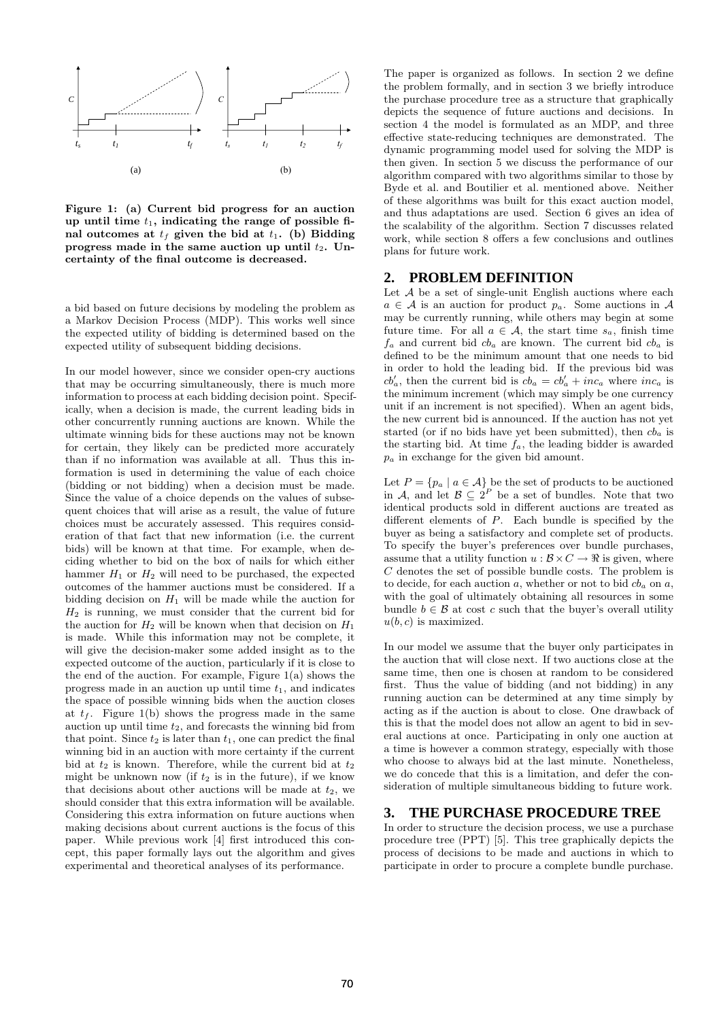

Figure 1: (a) Current bid progress for an auction up until time  $t_1$ , indicating the range of possible final outcomes at  $t_f$  given the bid at  $t_1$ . (b) Bidding progress made in the same auction up until  $t_2$ . Uncertainty of the final outcome is decreased.

a bid based on future decisions by modeling the problem as a Markov Decision Process (MDP). This works well since the expected utility of bidding is determined based on the expected utility of subsequent bidding decisions.

In our model however, since we consider open-cry auctions that may be occurring simultaneously, there is much more information to process at each bidding decision point. Specifically, when a decision is made, the current leading bids in other concurrently running auctions are known. While the ultimate winning bids for these auctions may not be known for certain, they likely can be predicted more accurately than if no information was available at all. Thus this information is used in determining the value of each choice (bidding or not bidding) when a decision must be made. Since the value of a choice depends on the values of subsequent choices that will arise as a result, the value of future choices must be accurately assessed. This requires consideration of that fact that new information (i.e. the current bids) will be known at that time. For example, when deciding whether to bid on the box of nails for which either hammer  $H_1$  or  $H_2$  will need to be purchased, the expected outcomes of the hammer auctions must be considered. If a bidding decision on  $H_1$  will be made while the auction for  $H_2$  is running, we must consider that the current bid for the auction for  $H_2$  will be known when that decision on  $H_1$ is made. While this information may not be complete, it will give the decision-maker some added insight as to the expected outcome of the auction, particularly if it is close to the end of the auction. For example, Figure 1(a) shows the progress made in an auction up until time  $t_1$ , and indicates the space of possible winning bids when the auction closes at  $t_f$ . Figure 1(b) shows the progress made in the same auction up until time  $t_2$ , and forecasts the winning bid from that point. Since  $t_2$  is later than  $t_1$ , one can predict the final winning bid in an auction with more certainty if the current bid at  $t_2$  is known. Therefore, while the current bid at  $t_2$ might be unknown now (if  $t_2$  is in the future), if we know that decisions about other auctions will be made at  $t_2$ , we should consider that this extra information will be available. Considering this extra information on future auctions when making decisions about current auctions is the focus of this paper. While previous work [4] first introduced this concept, this paper formally lays out the algorithm and gives experimental and theoretical analyses of its performance.

The paper is organized as follows. In section 2 we define the problem formally, and in section 3 we briefly introduce the purchase procedure tree as a structure that graphically depicts the sequence of future auctions and decisions. In section 4 the model is formulated as an MDP, and three effective state-reducing techniques are demonstrated. The dynamic programming model used for solving the MDP is then given. In section 5 we discuss the performance of our algorithm compared with two algorithms similar to those by Byde et al. and Boutilier et al. mentioned above. Neither of these algorithms was built for this exact auction model, and thus adaptations are used. Section 6 gives an idea of the scalability of the algorithm. Section 7 discusses related work, while section 8 offers a few conclusions and outlines plans for future work.

## **2. PROBLEM DEFINITION**

Let  $A$  be a set of single-unit English auctions where each  $a \in \mathcal{A}$  is an auction for product  $p_a$ . Some auctions in  $\mathcal{A}$ may be currently running, while others may begin at some future time. For all  $a \in \mathcal{A}$ , the start time  $s_a$ , finish time  $f_a$  and current bid  $cb_a$  are known. The current bid  $cb_a$  is defined to be the minimum amount that one needs to bid in order to hold the leading bid. If the previous bid was  $cb'_a$ , then the current bid is  $cb_a = cb'_a + inc_a$  where  $inc_a$  is the minimum increment (which may simply be one currency unit if an increment is not specified). When an agent bids, the new current bid is announced. If the auction has not yet started (or if no bids have yet been submitted), then  $cb<sub>a</sub>$  is the starting bid. At time  $f_a$ , the leading bidder is awarded  $p_a$  in exchange for the given bid amount.

Let  $P = \{p_a \mid a \in \mathcal{A}\}\$ be the set of products to be auctioned in A, and let  $\mathcal{B} \subseteq 2^P$  be a set of bundles. Note that two identical products sold in different auctions are treated as different elements of  $P$ . Each bundle is specified by the buyer as being a satisfactory and complete set of products. To specify the buyer's preferences over bundle purchases, assume that a utility function  $u : \mathcal{B} \times C \to \mathbb{R}$  is given, where C denotes the set of possible bundle costs. The problem is to decide, for each auction  $a$ , whether or not to bid  $cb<sub>a</sub>$  on  $a$ , with the goal of ultimately obtaining all resources in some bundle  $b \in \mathcal{B}$  at cost c such that the buyer's overall utility  $u(b, c)$  is maximized.

In our model we assume that the buyer only participates in the auction that will close next. If two auctions close at the same time, then one is chosen at random to be considered first. Thus the value of bidding (and not bidding) in any running auction can be determined at any time simply by acting as if the auction is about to close. One drawback of this is that the model does not allow an agent to bid in several auctions at once. Participating in only one auction at a time is however a common strategy, especially with those who choose to always bid at the last minute. Nonetheless, we do concede that this is a limitation, and defer the consideration of multiple simultaneous bidding to future work.

## **3. THE PURCHASE PROCEDURE TREE**

In order to structure the decision process, we use a purchase procedure tree (PPT) [5]. This tree graphically depicts the process of decisions to be made and auctions in which to participate in order to procure a complete bundle purchase.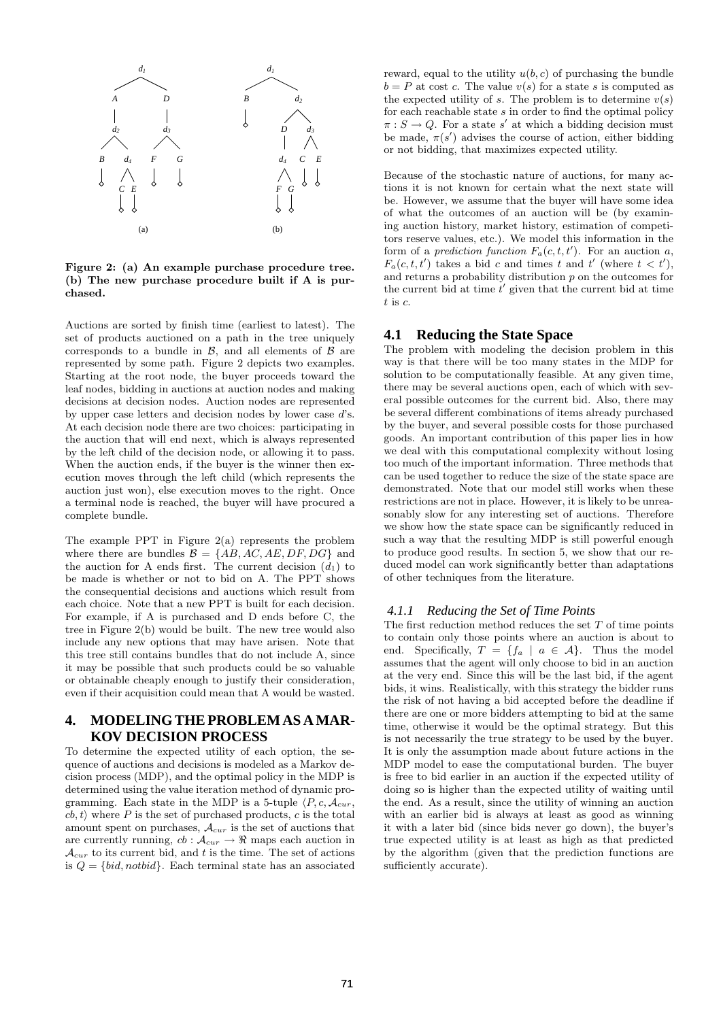

Figure 2: (a) An example purchase procedure tree. (b) The new purchase procedure built if A is purchased.

Auctions are sorted by finish time (earliest to latest). The set of products auctioned on a path in the tree uniquely corresponds to a bundle in  $\beta$ , and all elements of  $\beta$  are represented by some path. Figure 2 depicts two examples. Starting at the root node, the buyer proceeds toward the leaf nodes, bidding in auctions at auction nodes and making decisions at decision nodes. Auction nodes are represented by upper case letters and decision nodes by lower case d's. At each decision node there are two choices: participating in the auction that will end next, which is always represented by the left child of the decision node, or allowing it to pass. When the auction ends, if the buyer is the winner then execution moves through the left child (which represents the auction just won), else execution moves to the right. Once a terminal node is reached, the buyer will have procured a complete bundle.

The example PPT in Figure  $2(a)$  represents the problem where there are bundles  $\mathcal{B} = \{AB, AC, AE, DF, DG\}$  and the auction for A ends first. The current decision  $(d_1)$  to be made is whether or not to bid on A. The PPT shows the consequential decisions and auctions which result from each choice. Note that a new PPT is built for each decision. For example, if A is purchased and D ends before C, the tree in Figure 2(b) would be built. The new tree would also include any new options that may have arisen. Note that this tree still contains bundles that do not include A, since it may be possible that such products could be so valuable or obtainable cheaply enough to justify their consideration, even if their acquisition could mean that A would be wasted.

## **4. MODELING THE PROBLEM AS A MAR-KOV DECISION PROCESS**

To determine the expected utility of each option, the sequence of auctions and decisions is modeled as a Markov decision process (MDP), and the optimal policy in the MDP is determined using the value iteration method of dynamic programming. Each state in the MDP is a 5-tuple  $\langle P, c, A_{cur}$ ,  $\langle cb, t \rangle$  where P is the set of purchased products, c is the total amount spent on purchases,  $\mathcal{A}_{cur}$  is the set of auctions that are currently running,  $cb : A_{cur} \rightarrow \mathbb{R}$  maps each auction in  $\mathcal{A}_{cur}$  to its current bid, and t is the time. The set of actions is  $Q = \{bid, notbid\}$ . Each terminal state has an associated

reward, equal to the utility  $u(b, c)$  of purchasing the bundle  $b = P$  at cost c. The value  $v(s)$  for a state s is computed as the expected utility of s. The problem is to determine  $v(s)$ for each reachable state  $s$  in order to find the optimal policy  $\pi: S \to Q$ . For a state s' at which a bidding decision must be made,  $\pi(s')$  advises the course of action, either bidding or not bidding, that maximizes expected utility.

Because of the stochastic nature of auctions, for many actions it is not known for certain what the next state will be. However, we assume that the buyer will have some idea of what the outcomes of an auction will be (by examining auction history, market history, estimation of competitors reserve values, etc.). We model this information in the form of a *prediction function*  $F_a(c, t, t')$ . For an auction a,  $F_a(c, t, t')$  takes a bid c and times t and t' (where  $t < t'$ ), and returns a probability distribution  $p$  on the outcomes for the current bid at time  $t'$  given that the current bid at time  $t$  is  $c$ .

#### **4.1 Reducing the State Space**

The problem with modeling the decision problem in this way is that there will be too many states in the MDP for solution to be computationally feasible. At any given time, there may be several auctions open, each of which with several possible outcomes for the current bid. Also, there may be several different combinations of items already purchased by the buyer, and several possible costs for those purchased goods. An important contribution of this paper lies in how we deal with this computational complexity without losing too much of the important information. Three methods that can be used together to reduce the size of the state space are demonstrated. Note that our model still works when these restrictions are not in place. However, it is likely to be unreasonably slow for any interesting set of auctions. Therefore we show how the state space can be significantly reduced in such a way that the resulting MDP is still powerful enough to produce good results. In section 5, we show that our reduced model can work significantly better than adaptations of other techniques from the literature.

#### *4.1.1 Reducing the Set of Time Points*

The first reduction method reduces the set  $T$  of time points to contain only those points where an auction is about to end. Specifically,  $T = \{f_a \mid a \in \mathcal{A}\}\$ . Thus the model assumes that the agent will only choose to bid in an auction at the very end. Since this will be the last bid, if the agent bids, it wins. Realistically, with this strategy the bidder runs the risk of not having a bid accepted before the deadline if there are one or more bidders attempting to bid at the same time, otherwise it would be the optimal strategy. But this is not necessarily the true strategy to be used by the buyer. It is only the assumption made about future actions in the MDP model to ease the computational burden. The buyer is free to bid earlier in an auction if the expected utility of doing so is higher than the expected utility of waiting until the end. As a result, since the utility of winning an auction with an earlier bid is always at least as good as winning it with a later bid (since bids never go down), the buyer's true expected utility is at least as high as that predicted by the algorithm (given that the prediction functions are sufficiently accurate).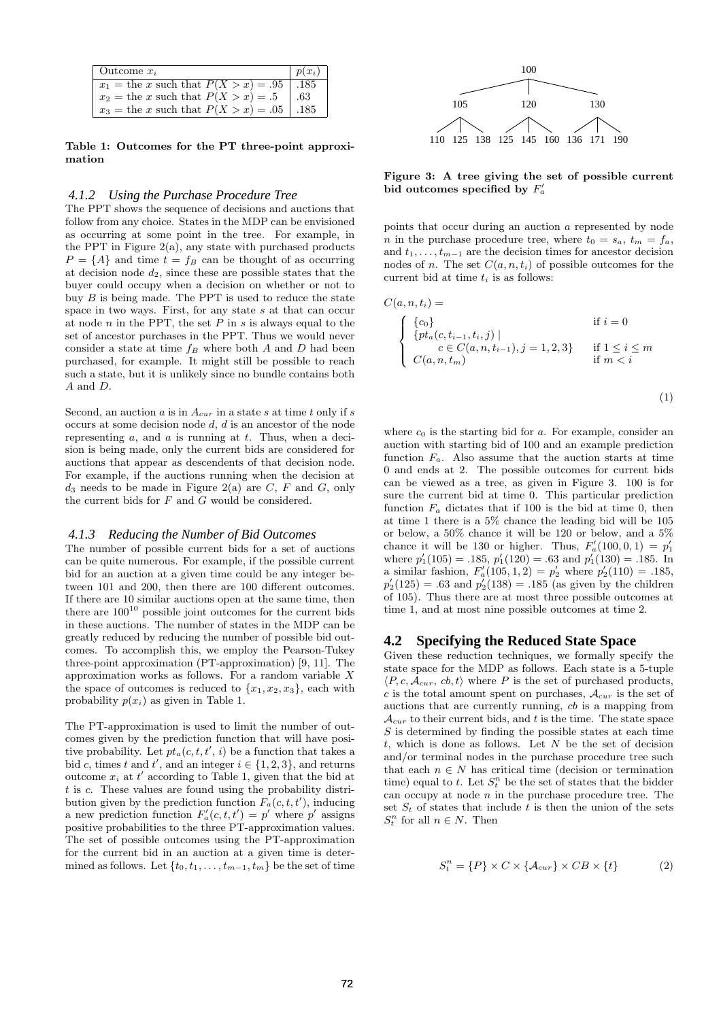| Outcome $x_i$                            | $p(x_i)$ |
|------------------------------------------|----------|
| $x_1$ = the x such that $P(X > x) = .95$ | .185     |
| $x_2$ = the x such that $P(X > x) = .5$  | .63      |
| $x_3$ = the x such that $P(X > x) = .05$ | .185     |

Table 1: Outcomes for the PT three-point approximation

#### *4.1.2 Using the Purchase Procedure Tree*

The PPT shows the sequence of decisions and auctions that follow from any choice. States in the MDP can be envisioned as occurring at some point in the tree. For example, in the PPT in Figure 2(a), any state with purchased products  $P = \{A\}$  and time  $t = f_B$  can be thought of as occurring at decision node  $d_2$ , since these are possible states that the buyer could occupy when a decision on whether or not to buy  $B$  is being made. The PPT is used to reduce the state space in two ways. First, for any state s at that can occur at node  $n$  in the PPT, the set  $P$  in  $s$  is always equal to the set of ancestor purchases in the PPT. Thus we would never consider a state at time  $f_B$  where both A and D had been purchased, for example. It might still be possible to reach such a state, but it is unlikely since no bundle contains both A and D.

Second, an auction  $a$  is in  $A_{cur}$  in a state  $s$  at time  $t$  only if  $s$ occurs at some decision node d, d is an ancestor of the node representing  $a$ , and  $a$  is running at  $t$ . Thus, when a decision is being made, only the current bids are considered for auctions that appear as descendents of that decision node. For example, if the auctions running when the decision at  $d_3$  needs to be made in Figure 2(a) are C, F and G, only the current bids for  $F$  and  $G$  would be considered.

#### *4.1.3 Reducing the Number of Bid Outcomes*

The number of possible current bids for a set of auctions can be quite numerous. For example, if the possible current bid for an auction at a given time could be any integer between 101 and 200, then there are 100 different outcomes. If there are 10 similar auctions open at the same time, then there are  $100^{10}$  possible joint outcomes for the current bids in these auctions. The number of states in the MDP can be greatly reduced by reducing the number of possible bid outcomes. To accomplish this, we employ the Pearson-Tukey three-point approximation (PT-approximation) [9, 11]. The approximation works as follows. For a random variable  $X$ the space of outcomes is reduced to  $\{x_1, x_2, x_3\}$ , each with probability  $p(x_i)$  as given in Table 1.

The PT-approximation is used to limit the number of outcomes given by the prediction function that will have positive probability. Let  $pt_a(c, t, t', i)$  be a function that takes a bid c, times t and t', and an integer  $i \in \{1, 2, 3\}$ , and returns outcome  $x_i$  at  $t'$  according to Table 1, given that the bid at  $t$  is  $c$ . These values are found using the probability distribution given by the prediction function  $F_a(c, t, t')$ , inducing a new prediction function  $F'_a(c, t, t') = p'$  where p' assigns positive probabilities to the three PT-approximation values. The set of possible outcomes using the PT-approximation for the current bid in an auction at a given time is determined as follows. Let  $\{t_0, t_1, \ldots, t_{m-1}, t_m\}$  be the set of time



Figure 3: A tree giving the set of possible current bid outcomes specified by  $F_a'$ 

points that occur during an auction a represented by node *n* in the purchase procedure tree, where  $t_0 = s_a$ ,  $t_m = f_a$ , and  $t_1, \ldots, t_{m-1}$  are the decision times for ancestor decision nodes of n. The set  $C(a, n, t_i)$  of possible outcomes for the current bid at time  $t_i$  is as follows:

$$
C(a, n, t_i) = \n\begin{cases} \n\{c_0\} & \text{if } i = 0\\ \n\{pt_a(c, t_{i-1}, t_i, j) \mid & c \in C(a, n, t_{i-1}), j = 1, 2, 3\} & \text{if } 1 \leq i \leq m\\ \nC(a, n, t_m) & \text{if } m < i \n\end{cases}
$$
\n(1)

where  $c_0$  is the starting bid for a. For example, consider an auction with starting bid of 100 and an example prediction function  $F_a$ . Also assume that the auction starts at time 0 and ends at 2. The possible outcomes for current bids can be viewed as a tree, as given in Figure 3. 100 is for sure the current bid at time 0. This particular prediction function  $F_a$  dictates that if 100 is the bid at time 0, then at time 1 there is a 5% chance the leading bid will be 105 or below, a 50% chance it will be 120 or below, and a 5% chance it will be 130 or higher. Thus,  $F'_a(100, 0, 1) = p'_1$ where  $p'_1(105) = .185, p'_1(120) = .63$  and  $p'_1(130) = .185$ . In a similar fashion,  $F'_a(105, 1, 2) = p'_2$  where  $p'_2(110) = .185$ ,  $p'_2(125) = .63$  and  $p'_2(138) = .185$  (as given by the children of 105). Thus there are at most three possible outcomes at time 1, and at most nine possible outcomes at time 2.

#### **4.2 Specifying the Reduced State Space**

Given these reduction techniques, we formally specify the state space for the MDP as follows. Each state is a 5-tuple  $\langle P, c, A_{cur}, cb, t \rangle$  where P is the set of purchased products, c is the total amount spent on purchases,  $A_{cur}$  is the set of auctions that are currently running, cb is a mapping from  $\mathcal{A}_{cur}$  to their current bids, and t is the time. The state space  $S$  is determined by finding the possible states at each time  $t$ , which is done as follows. Let  $N$  be the set of decision and/or terminal nodes in the purchase procedure tree such that each  $n \in N$  has critical time (decision or termination time) equal to t. Let  $S_t^n$  be the set of states that the bidder can occupy at node  $n$  in the purchase procedure tree. The set  $S_t$  of states that include t is then the union of the sets  $S_t^n$  for all  $n \in N$ . Then

$$
S_t^n = \{P\} \times C \times \{A_{cur}\} \times CB \times \{t\}
$$
 (2)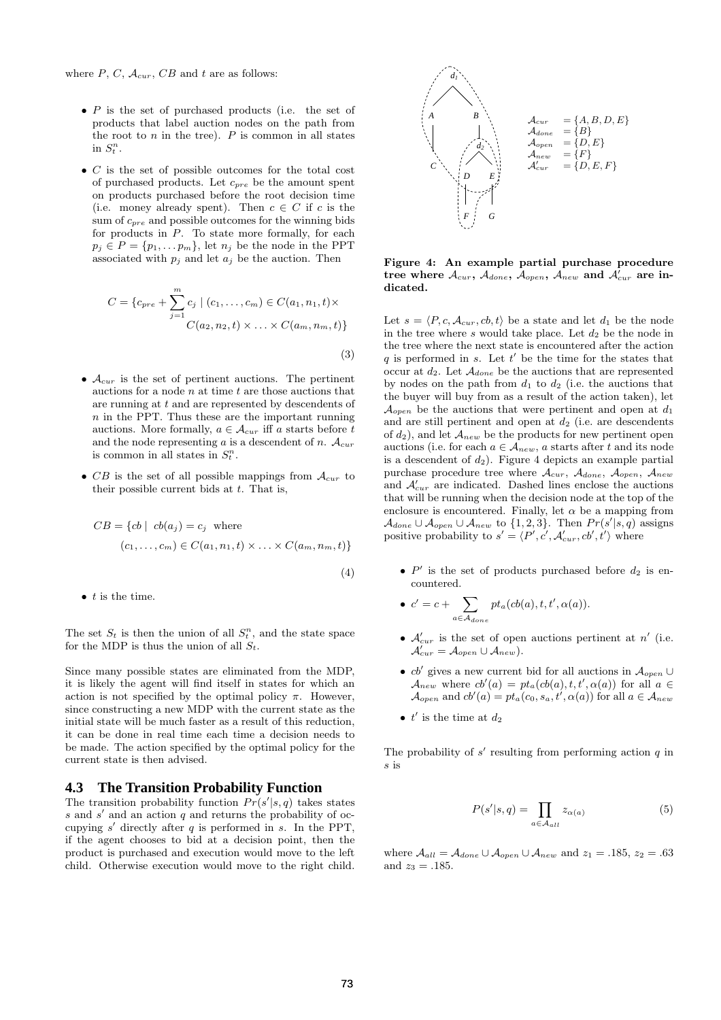- $\bullet$  P is the set of purchased products (i.e. the set of products that label auction nodes on the path from  $A \rightarrow B$ the root to  $n$  in the tree).  $P$  is common in all states in  $S_t^n$ .
- *C* is the set of possible outcomes for the total cost of purchased products. Let  $c_{pre}$  be the amount spent<br>  $\begin{array}{ccc}\n\ddots & D & E \\
\vdots & \vdots & \vdots\n\end{array}$ on products purchased before the root decision time (i.e. money already spent). Then  $c \in C$  if c is the  $\sum_{r=1}^{\infty}$  and possible outcomes for the winning bids for products in P. To state more formally, for each  $p_i \in P = \{p_1, \ldots p_m\}$ , let  $n_i$  be the node in the PPT associated with  $p_i$  and let  $a_j$  be the auction. Then

$$
C = \{c_{pre} + \sum_{j=1}^{m} c_j \mid (c_1, \dots, c_m) \in C(a_1, n_1, t) \times
$$

$$
C(a_2, n_2, t) \times \dots \times C(a_m, n_m, t)\}
$$

(3)

(4)

 $\epsilon$ 

- $\mathcal{A}_{cur}$  is the set of pertinent auctions. The pertinent auctions for a node  $n$  at time  $t$  are those auctions that are running at t and are represented by descendents of  $n$  in the PPT. Thus these are the important running auctions. More formally,  $a \in \mathcal{A}_{cur}$  iff a starts before t and the node representing a is a descendent of n.  $A_{cur}$ is common in all states in  $S_t^n$ .
- CB is the set of all possible mappings from  $\mathcal{A}_{cur}$  to their possible current bids at  $t$ . That is,

$$
CB = \{cb \mid cb(a_j) = c_j \text{ where}
$$

$$
(c_1, \ldots, c_m) \in C(a_1, n_1, t) \times \ldots \times C(a_m, n_m, t)\}
$$

 $\bullet$  t is the time.

The set  $S_t$  is then the union of all  $S_t^n$ , and the state space for the MDP is thus the union of all  $S_t$ .

Since many possible states are eliminated from the MDP, it is likely the agent will find itself in states for which an action is not specified by the optimal policy  $\pi$ . However, since constructing a new MDP with the current state as the initial state will be much faster as a result of this reduction, it can be done in real time each time a decision needs to be made. The action specified by the optimal policy for the current state is then advised.

#### **4.3 The Transition Probability Function**

The transition probability function  $Pr(s'|s,q)$  takes states  $s$  and  $s'$  and an action  $q$  and returns the probability of occupying  $s'$  directly after  $q$  is performed in  $s$ . In the PPT, if the agent chooses to bid at a decision point, then the product is purchased and execution would move to the left child. Otherwise execution would move to the right child.



Figure 4: An example partial purchase procedure tree where  $\mathcal{A}_{cur} , \, \mathcal{A}_{done} , \, \bar{\mathcal{A}}_{open} , \, \bar{\mathcal{A}}_{new}$  and  $\bar{\mathcal{A}}_{cur}^{'}$  are indicated.

Let  $s = \langle P, c, A_{cur}, cb, t \rangle$  be a state and let  $d_1$  be the node in the tree where s would take place. Let  $d_2$  be the node in the tree where the next state is encountered after the action q is performed in s. Let  $t'$  be the time for the states that occur at  $d_2$ . Let  $\mathcal{A}_{done}$  be the auctions that are represented by nodes on the path from  $d_1$  to  $d_2$  (i.e. the auctions that the buyer will buy from as a result of the action taken), let  $\mathcal{A}_{open}$  be the auctions that were pertinent and open at  $d_1$ and are still pertinent and open at  $d_2$  (i.e. are descendents of  $d_2$ ), and let  $\mathcal{A}_{new}$  be the products for new pertinent open auctions (i.e. for each  $a \in \mathcal{A}_{new}$ , a starts after t and its node is a descendent of  $d_2$ ). Figure 4 depicts an example partial purchase procedure tree where  $\mathcal{A}_{cur}$ ,  $\mathcal{A}_{done}$ ,  $\mathcal{A}_{open}$ ,  $\mathcal{A}_{new}$ and  $A'_{cur}$  are indicated. Dashed lines enclose the auctions that will be running when the decision node at the top of the enclosure is encountered. Finally, let  $\alpha$  be a mapping from  $\mathcal{A}_{done} \cup \mathcal{A}_{open} \cup \mathcal{A}_{new}$  to  $\{1,2,3\}$ . Then  $Pr(s'|s,q)$  assigns positive probability to  $s' = \langle P', c', A'_{cur}, cb', t' \rangle$  where

•  $P'$  is the set of products purchased before  $d_2$  is encountered.

$$
c' = c + \sum_{a \in \mathcal{A}_{done}} pt_a (cb(a), t, t', \alpha(a)).
$$

- $\mathcal{A}_{cur}$  is the set of open auctions pertinent at n' (i.e.  $\mathcal{A}_{cur}' = \mathcal{A}_{open} \cup \mathcal{A}_{new}$ ).
- cb' gives a new current bid for all auctions in  $\mathcal{A}_{open}$  ∪  $\mathcal{A}_{new}$  where  $cb'(a) = pt_a(cb(a), t, t', \alpha(a))$  for all  $a \in$  $\mathcal{A}_{open}$  and  $cb'(a) = pt_a(c_0, s_a, t', \alpha(a))$  for all  $a \in \mathcal{A}_{new}$
- $t'$  is the time at  $d_2$

The probability of  $s'$  resulting from performing action  $q$  in s is

$$
P(s'|s,q) = \prod_{a \in \mathcal{A}_{all}} z_{\alpha(a)} \tag{5}
$$

where  $A_{all} = A_{done} \cup A_{open} \cup A_{new}$  and  $z_1 = .185$ ,  $z_2 = .63$ and  $z_3 = .185$ .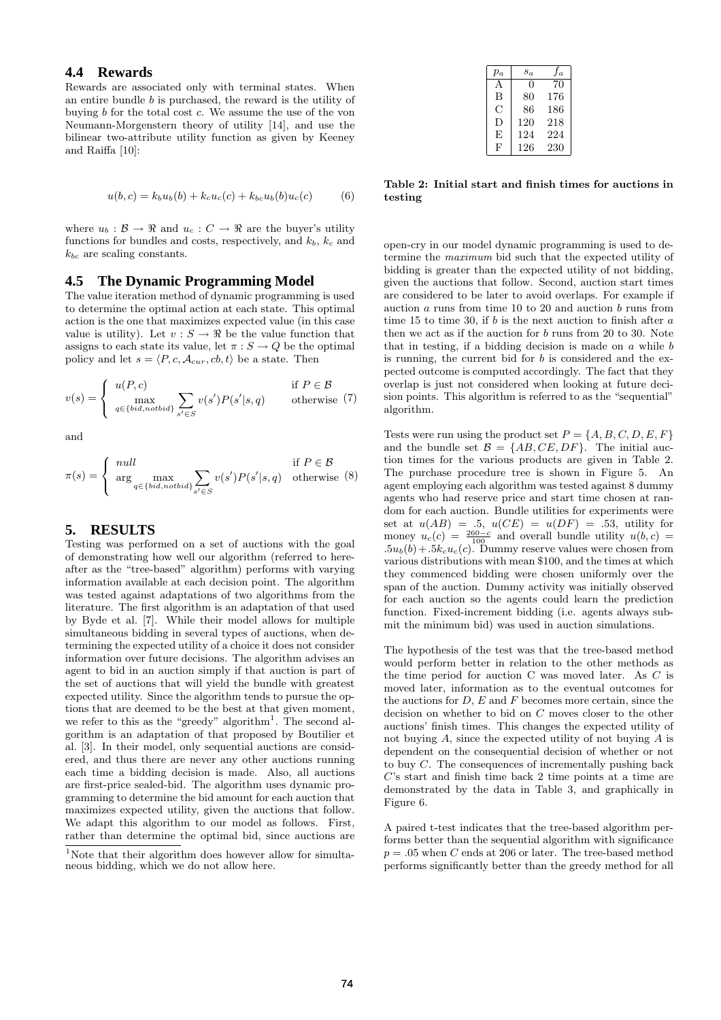## **4.4 Rewards**

Rewards are associated only with terminal states. When an entire bundle  $b$  is purchased, the reward is the utility of buying b for the total cost c. We assume the use of the von Neumann-Morgenstern theory of utility [14], and use the bilinear two-attribute utility function as given by Keeney and Raiffa [10]:

$$
u(b, c) = k_b u_b(b) + k_c u_c(c) + k_{bc} u_b(b) u_c(c)
$$
 (6)

where  $u_b : \mathcal{B} \to \mathbb{R}$  and  $u_c : C \to \mathbb{R}$  are the buyer's utility functions for bundles and costs, respectively, and  $k_b$ ,  $k_c$  and  $k_{bc}$  are scaling constants.

#### **4.5 The Dynamic Programming Model**

The value iteration method of dynamic programming is used to determine the optimal action at each state. This optimal action is the one that maximizes expected value (in this case value is utility). Let  $v : S \to \mathbb{R}$  be the value function that assigns to each state its value, let  $\pi : S \to Q$  be the optimal policy and let  $s = \langle P, c, A_{cur}, cb, t \rangle$  be a state. Then

$$
v(s) = \begin{cases} u(P, c) & \text{if } P \in \mathcal{B} \\ \max_{q \in \{bid, notbid\}} \sum_{s' \in S} v(s')P(s'|s, q) & \text{otherwise} \end{cases}
$$
(7)

and

$$
\pi(s) = \begin{cases} null & \text{if } P \in \mathcal{B} \\ \arg \max_{q \in \{bid, notbid\}} \sum_{s' \in S} v(s')P(s'|s, q) & \text{otherwise} \end{cases}
$$
(8)

## **5. RESULTS**

Testing was performed on a set of auctions with the goal of demonstrating how well our algorithm (referred to hereafter as the "tree-based" algorithm) performs with varying information available at each decision point. The algorithm was tested against adaptations of two algorithms from the literature. The first algorithm is an adaptation of that used by Byde et al. [7]. While their model allows for multiple simultaneous bidding in several types of auctions, when determining the expected utility of a choice it does not consider information over future decisions. The algorithm advises an agent to bid in an auction simply if that auction is part of the set of auctions that will yield the bundle with greatest expected utility. Since the algorithm tends to pursue the options that are deemed to be the best at that given moment, we refer to this as the "greedy" algorithm<sup>1</sup>. The second algorithm is an adaptation of that proposed by Boutilier et al. [3]. In their model, only sequential auctions are considered, and thus there are never any other auctions running each time a bidding decision is made. Also, all auctions are first-price sealed-bid. The algorithm uses dynamic programming to determine the bid amount for each auction that maximizes expected utility, given the auctions that follow. We adapt this algorithm to our model as follows. First, rather than determine the optimal bid, since auctions are

| $p_a$ | $s_a$ | fa  |
|-------|-------|-----|
| A     | 0     | 70  |
| В     | 80    | 176 |
| C     | 86    | 186 |
| D     | 120   | 218 |
| F,    | 124   | 224 |
| F     | 126   | 230 |

Table 2: Initial start and finish times for auctions in testing

open-cry in our model dynamic programming is used to determine the maximum bid such that the expected utility of bidding is greater than the expected utility of not bidding, given the auctions that follow. Second, auction start times are considered to be later to avoid overlaps. For example if auction a runs from time 10 to 20 and auction b runs from time 15 to time 30, if  $b$  is the next auction to finish after  $a$ then we act as if the auction for b runs from 20 to 30. Note that in testing, if a bidding decision is made on  $a$  while  $b$ is running, the current bid for  $b$  is considered and the expected outcome is computed accordingly. The fact that they overlap is just not considered when looking at future decision points. This algorithm is referred to as the "sequential" algorithm.

Tests were run using the product set  $P = \{A, B, C, D, E, F\}$ and the bundle set  $\mathcal{B} = \{AB, CE, DF\}$ . The initial auction times for the various products are given in Table 2. The purchase procedure tree is shown in Figure 5. An agent employing each algorithm was tested against 8 dummy agents who had reserve price and start time chosen at random for each auction. Bundle utilities for experiments were set at  $u(AB) = .5$ ,  $u(CE) = u(DF) = .53$ , utility for money  $u_c(c) = \frac{260-c}{100}$  and overall bundle utility  $u(b, c)$  $.5u_b(b)+.5k_cu_c(c)$ . Dummy reserve values were chosen from various distributions with mean \$100, and the times at which they commenced bidding were chosen uniformly over the span of the auction. Dummy activity was initially observed for each auction so the agents could learn the prediction function. Fixed-increment bidding (i.e. agents always submit the minimum bid) was used in auction simulations.

The hypothesis of the test was that the tree-based method would perform better in relation to the other methods as the time period for auction C was moved later. As C is moved later, information as to the eventual outcomes for the auctions for  $D$ ,  $E$  and  $F$  becomes more certain, since the decision on whether to bid on C moves closer to the other auctions' finish times. This changes the expected utility of not buying A, since the expected utility of not buying A is dependent on the consequential decision of whether or not to buy  $C$ . The consequences of incrementally pushing back  $C$ 's start and finish time back 2 time points at a time are demonstrated by the data in Table 3, and graphically in Figure 6.

A paired t-test indicates that the tree-based algorithm performs better than the sequential algorithm with significance  $p = .05$  when C ends at 206 or later. The tree-based method performs significantly better than the greedy method for all

<sup>&</sup>lt;sup>1</sup>Note that their algorithm does however allow for simultaneous bidding, which we do not allow here.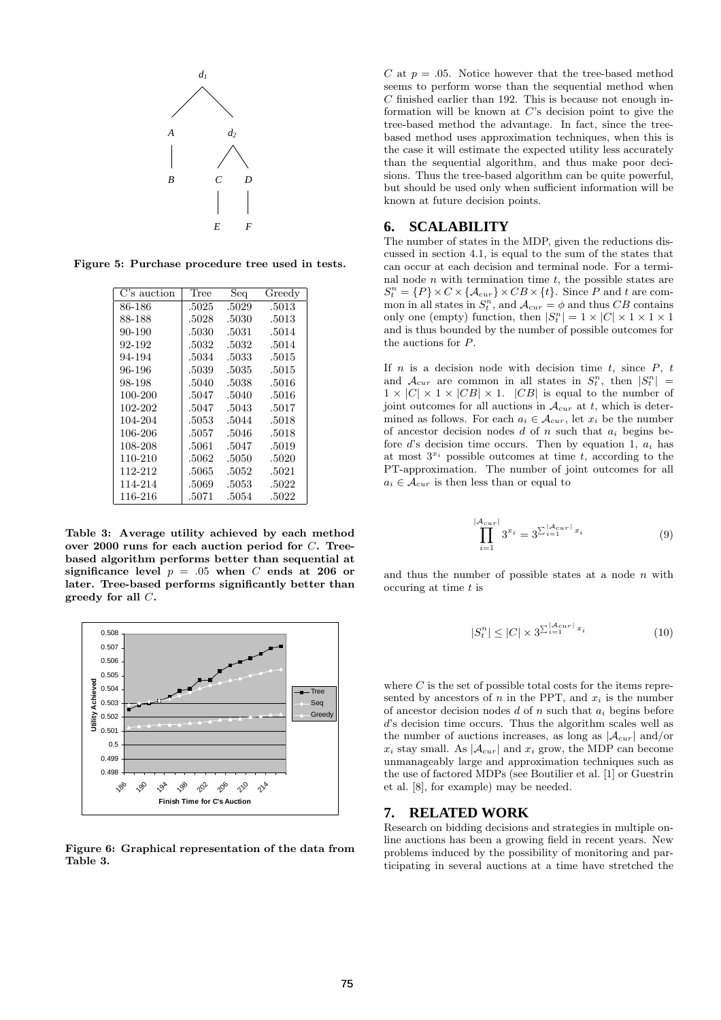

Figure 5: Purchase procedure tree used in tests.

| C's auction | Tree  | Seq   | Greedy |
|-------------|-------|-------|--------|
| 86-186      | .5025 | .5029 | .5013  |
| 88-188      | .5028 | .5030 | .5013  |
| 90-190      | .5030 | .5031 | .5014  |
| 92-192      | .5032 | .5032 | .5014  |
| 94-194      | .5034 | .5033 | .5015  |
| 96-196      | .5039 | .5035 | .5015  |
| 98-198      | .5040 | .5038 | .5016  |
| 100-200     | .5047 | .5040 | .5016  |
| 102-202     | .5047 | .5043 | .5017  |
| 104-204     | .5053 | .5044 | .5018  |
| 106-206     | .5057 | .5046 | .5018  |
| 108-208     | .5061 | .5047 | .5019  |
| 110-210     | .5062 | .5050 | .5020  |
| 112-212     | .5065 | .5052 | .5021  |
| 114-214     | .5069 | .5053 | .5022  |
| 116-216     | .5071 | .5054 | .5022  |

Table 3: Average utility achieved by each method over 2000 runs for each auction period for C. Treebased algorithm performs better than sequential at significance level  $p = .05$  when C ends at 206 or later. Tree-based performs significantly better than greedy for all C.



Figure 6: Graphical representation of the data from Table 3.

C at  $p = .05$ . Notice however that the tree-based method seems to perform worse than the sequential method when  $C$  finished earlier than 192. This is because not enough information will be known at  $C$ 's decision point to give the tree-based method the advantage. In fact, since the treebased method uses approximation techniques, when this is the case it will estimate the expected utility less accurately than the sequential algorithm, and thus make poor decisions. Thus the tree-based algorithm can be quite powerful, but should be used only when sufficient information will be known at future decision points.

## **6. SCALABILITY**

The number of states in the MDP, given the reductions discussed in section 4.1, is equal to the sum of the states that can occur at each decision and terminal node. For a terminal node  $n$  with termination time  $t$ , the possible states are  $S_t^n = \{P\} \times C \times \{A_{cur}\} \times CB \times \{t\}.$  Since P and t are common in all states in  $S_t^n$ , and  $\mathcal{A}_{cur} = \phi$  and thus CB contains only one (empty) function, then  $|S_t^n| = 1 \times |C| \times 1 \times 1 \times 1$ and is thus bounded by the number of possible outcomes for the auctions for P.

If  $n$  is a decision node with decision time  $t$ , since  $P$ ,  $t$ and  $\mathcal{A}_{cur}$  are common in all states in  $S_t^n$ , then  $|S_t^n|$  =  $1 \times |C| \times 1 \times |CB| \times 1$ .  $|CB|$  is equal to the number of joint outcomes for all auctions in  $\mathcal{A}_{cur}$  at t, which is determined as follows. For each  $a_i \in \mathcal{A}_{cur}$ , let  $x_i$  be the number of ancestor decision nodes  $d$  of  $n$  such that  $a_i$  begins before d's decision time occurs. Then by equation 1,  $a_i$  has at most  $3^{x_i}$  possible outcomes at time t, according to the PT-approximation. The number of joint outcomes for all  $a_i \in \mathcal{A}_{cur}$  is then less than or equal to

$$
\prod_{i=1}^{A_{curl}} 3^{x_i} = 3^{\sum_{i=1}^{|A_{curl}|} x_i}
$$
 (9)

and thus the number of possible states at a node  $n$  with occuring at time t is

 $\overline{\phantom{a}}$ 

$$
|S_t^n| \le |C| \times 3^{\sum_{i=1}^{|A_{cur}|} x_i}
$$
\n<sup>(10)</sup>

where  $C$  is the set of possible total costs for the items represented by ancestors of n in the PPT, and  $x_i$  is the number of ancestor decision nodes  $d$  of n such that  $a_i$  begins before d's decision time occurs. Thus the algorithm scales well as the number of auctions increases, as long as  $|A_{cur}|$  and/or  $x_i$  stay small. As  $|A_{cur}|$  and  $x_i$  grow, the MDP can become unmanageably large and approximation techniques such as the use of factored MDPs (see Boutilier et al. [1] or Guestrin et al. [8], for example) may be needed.

### **7. RELATED WORK**

Research on bidding decisions and strategies in multiple online auctions has been a growing field in recent years. New problems induced by the possibility of monitoring and participating in several auctions at a time have stretched the